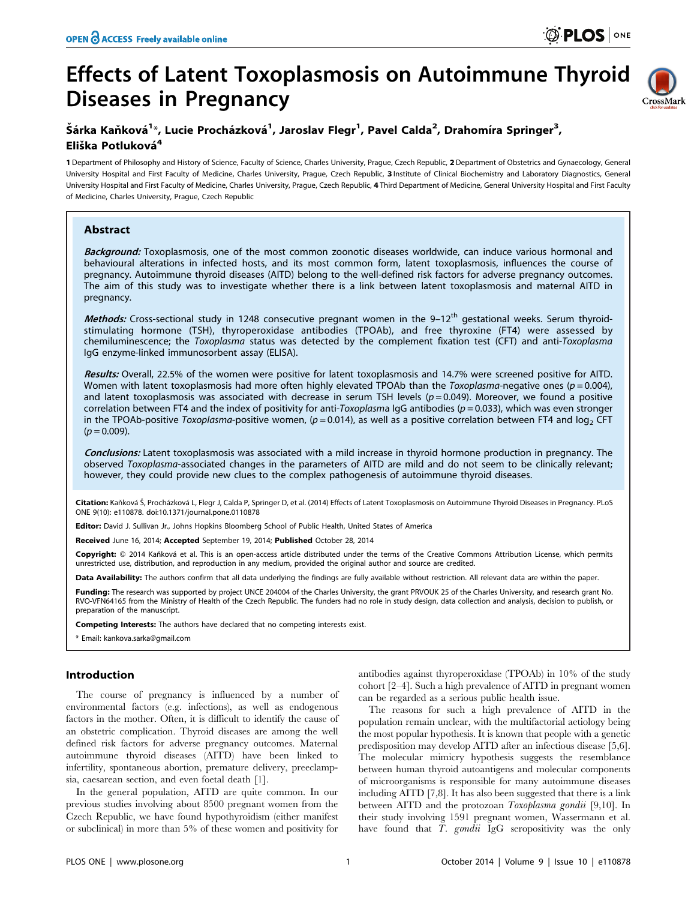# Effects of Latent Toxoplasmosis on Autoimmune Thyroid Diseases in Pregnancy



# Šárka Kaňková<sup>1</sup>\*, Lucie Procházková<sup>1</sup>, Jaroslav Flegr<sup>1</sup>, Pavel Calda<sup>2</sup>, Drahomíra Springer<sup>3</sup>, Eliška Potluková<sup>4</sup>

1 Department of Philosophy and History of Science, Faculty of Science, Charles University, Prague, Czech Republic, 2 Department of Obstetrics and Gynaecology, General University Hospital and First Faculty of Medicine, Charles University, Prague, Czech Republic, 3 Institute of Clinical Biochemistry and Laboratory Diagnostics, General University Hospital and First Faculty of Medicine, Charles University, Prague, Czech Republic, 4 Third Department of Medicine, General University Hospital and First Faculty of Medicine, Charles University, Prague, Czech Republic

## Abstract

**Background:** Toxoplasmosis, one of the most common zoonotic diseases worldwide, can induce various hormonal and behavioural alterations in infected hosts, and its most common form, latent toxoplasmosis, influences the course of pregnancy. Autoimmune thyroid diseases (AITD) belong to the well-defined risk factors for adverse pregnancy outcomes. The aim of this study was to investigate whether there is a link between latent toxoplasmosis and maternal AITD in pregnancy.

Methods: Cross-sectional study in 1248 consecutive pregnant women in the 9-12<sup>th</sup> gestational weeks. Serum thyroidstimulating hormone (TSH), thyroperoxidase antibodies (TPOAb), and free thyroxine (FT4) were assessed by chemiluminescence; the Toxoplasma status was detected by the complement fixation test (CFT) and anti-Toxoplasma IgG enzyme-linked immunosorbent assay (ELISA).

Results: Overall, 22.5% of the women were positive for latent toxoplasmosis and 14.7% were screened positive for AITD. Women with latent toxoplasmosis had more often highly elevated TPOAb than the Toxoplasma-negative ones ( $p = 0.004$ ), and latent toxoplasmosis was associated with decrease in serum TSH levels ( $p = 0.049$ ). Moreover, we found a positive correlation between FT4 and the index of positivity for anti-Toxoplasma IgG antibodies ( $p = 0.033$ ), which was even stronger in the TPOAb-positive Toxoplasma-positive women,  $(p=0.014)$ , as well as a positive correlation between FT4 and log<sub>2</sub> CFT  $(p = 0.009)$ .

Conclusions: Latent toxoplasmosis was associated with a mild increase in thyroid hormone production in pregnancy. The observed Toxoplasma-associated changes in the parameters of AITD are mild and do not seem to be clinically relevant; however, they could provide new clues to the complex pathogenesis of autoimmune thyroid diseases.

Citation: Kaňková Š, Procházková L, Flegr J, Calda P, Springer D, et al. (2014) Effects of Latent Toxoplasmosis on Autoimmune Thyroid Diseases in Pregnancy. PLoS ONE 9(10): e110878. doi:10.1371/journal.pone.0110878

Editor: David J. Sullivan Jr., Johns Hopkins Bloomberg School of Public Health, United States of America

Received June 16, 2014; Accepted September 19, 2014; Published October 28, 2014

Copyright: © 2014 Kaňková et al. This is an open-access article distributed under the terms of the [Creative Commons Attribution License,](http://creativecommons.org/licenses/by/4.0/) which permits unrestricted use, distribution, and reproduction in any medium, provided the original author and source are credited.

Data Availability: The authors confirm that all data underlying the findings are fully available without restriction. All relevant data are within the paper.

Funding: The research was supported by project UNCE 204004 of the Charles University, the grant PRVOUK 25 of the Charles University, and research grant No. RVO-VFN64165 from the Ministry of Health of the Czech Republic. The funders had no role in study design, data collection and analysis, decision to publish, or preparation of the manuscript.

Competing Interests: The authors have declared that no competing interests exist.

\* Email: kankova.sarka@gmail.com

## Introduction

The course of pregnancy is influenced by a number of environmental factors (e.g. infections), as well as endogenous factors in the mother. Often, it is difficult to identify the cause of an obstetric complication. Thyroid diseases are among the well defined risk factors for adverse pregnancy outcomes. Maternal autoimmune thyroid diseases (AITD) have been linked to infertility, spontaneous abortion, premature delivery, preeclampsia, caesarean section, and even foetal death [1].

In the general population, AITD are quite common. In our previous studies involving about 8500 pregnant women from the Czech Republic, we have found hypothyroidism (either manifest or subclinical) in more than 5% of these women and positivity for

antibodies against thyroperoxidase (TPOAb) in 10% of the study cohort [2–4]. Such a high prevalence of AITD in pregnant women can be regarded as a serious public health issue.

The reasons for such a high prevalence of AITD in the population remain unclear, with the multifactorial aetiology being the most popular hypothesis. It is known that people with a genetic predisposition may develop AITD after an infectious disease [5,6]. The molecular mimicry hypothesis suggests the resemblance between human thyroid autoantigens and molecular components of microorganisms is responsible for many autoimmune diseases including AITD [7,8]. It has also been suggested that there is a link between AITD and the protozoan Toxoplasma gondii [9,10]. In their study involving 1591 pregnant women, Wassermann et al. have found that T. gondii IgG seropositivity was the only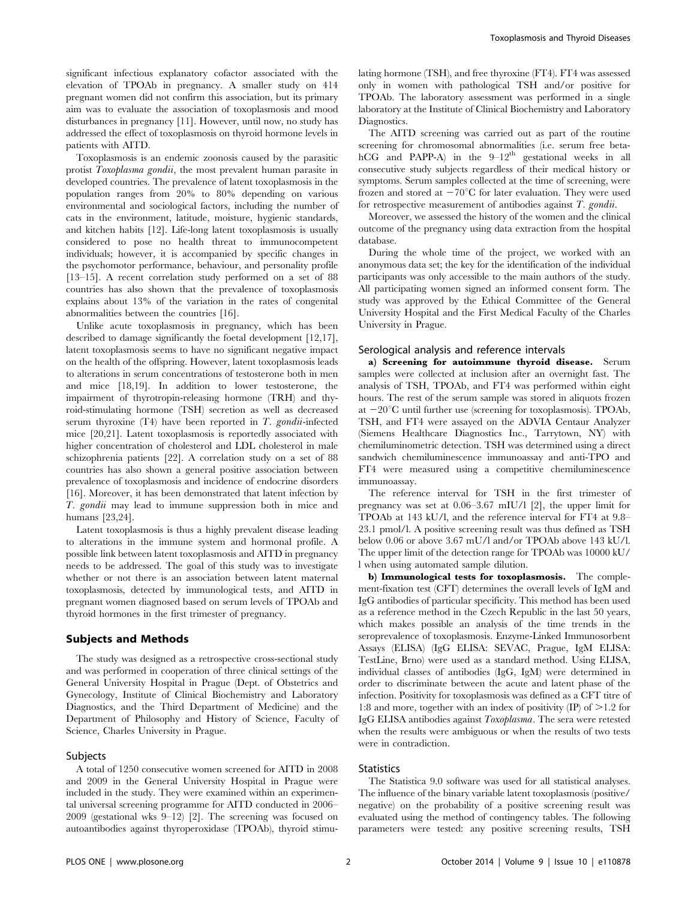significant infectious explanatory cofactor associated with the elevation of TPOAb in pregnancy. A smaller study on 414 pregnant women did not confirm this association, but its primary aim was to evaluate the association of toxoplasmosis and mood disturbances in pregnancy [11]. However, until now, no study has addressed the effect of toxoplasmosis on thyroid hormone levels in patients with AITD.

Toxoplasmosis is an endemic zoonosis caused by the parasitic protist Toxoplasma gondii, the most prevalent human parasite in developed countries. The prevalence of latent toxoplasmosis in the population ranges from 20% to 80% depending on various environmental and sociological factors, including the number of cats in the environment, latitude, moisture, hygienic standards, and kitchen habits [12]. Life-long latent toxoplasmosis is usually considered to pose no health threat to immunocompetent individuals; however, it is accompanied by specific changes in the psychomotor performance, behaviour, and personality profile [13–15]. A recent correlation study performed on a set of 88 countries has also shown that the prevalence of toxoplasmosis explains about 13% of the variation in the rates of congenital abnormalities between the countries [16].

Unlike acute toxoplasmosis in pregnancy, which has been described to damage significantly the foetal development [12,17], latent toxoplasmosis seems to have no significant negative impact on the health of the offspring. However, latent toxoplasmosis leads to alterations in serum concentrations of testosterone both in men and mice [18,19]. In addition to lower testosterone, the impairment of thyrotropin-releasing hormone (TRH) and thyroid-stimulating hormone (TSH) secretion as well as decreased serum thyroxine  $(T4)$  have been reported in T. gondii-infected mice [20,21]. Latent toxoplasmosis is reportedly associated with higher concentration of cholesterol and LDL cholesterol in male schizophrenia patients [22]. A correlation study on a set of 88 countries has also shown a general positive association between prevalence of toxoplasmosis and incidence of endocrine disorders [16]. Moreover, it has been demonstrated that latent infection by T. gondii may lead to immune suppression both in mice and humans [23,24].

Latent toxoplasmosis is thus a highly prevalent disease leading to alterations in the immune system and hormonal profile. A possible link between latent toxoplasmosis and AITD in pregnancy needs to be addressed. The goal of this study was to investigate whether or not there is an association between latent maternal toxoplasmosis, detected by immunological tests, and AITD in pregnant women diagnosed based on serum levels of TPOAb and thyroid hormones in the first trimester of pregnancy.

#### Subjects and Methods

The study was designed as a retrospective cross-sectional study and was performed in cooperation of three clinical settings of the General University Hospital in Prague (Dept. of Obstetrics and Gynecology, Institute of Clinical Biochemistry and Laboratory Diagnostics, and the Third Department of Medicine) and the Department of Philosophy and History of Science, Faculty of Science, Charles University in Prague.

#### Subjects

A total of 1250 consecutive women screened for AITD in 2008 and 2009 in the General University Hospital in Prague were included in the study. They were examined within an experimental universal screening programme for AITD conducted in 2006– 2009 (gestational wks 9–12) [2]. The screening was focused on autoantibodies against thyroperoxidase (TPOAb), thyroid stimulating hormone (TSH), and free thyroxine (FT4). FT4 was assessed only in women with pathological TSH and/or positive for TPOAb. The laboratory assessment was performed in a single laboratory at the Institute of Clinical Biochemistry and Laboratory Diagnostics.

The AITD screening was carried out as part of the routine screening for chromosomal abnormalities (i.e. serum free betahCG and PAPP-A) in the  $9-12$ <sup>th</sup> gestational weeks in all consecutive study subjects regardless of their medical history or symptoms. Serum samples collected at the time of screening, were frozen and stored at  $-70^{\circ}$ C for later evaluation. They were used for retrospective measurement of antibodies against T. gondii.

Moreover, we assessed the history of the women and the clinical outcome of the pregnancy using data extraction from the hospital database.

During the whole time of the project, we worked with an anonymous data set; the key for the identification of the individual participants was only accessible to the main authors of the study. All participating women signed an informed consent form. The study was approved by the Ethical Committee of the General University Hospital and the First Medical Faculty of the Charles University in Prague.

#### Serological analysis and reference intervals

a) Screening for autoimmune thyroid disease. Serum samples were collected at inclusion after an overnight fast. The analysis of TSH, TPOAb, and FT4 was performed within eight hours. The rest of the serum sample was stored in aliquots frozen at  $-20^{\circ}$ C until further use (screening for toxoplasmosis). TPOAb, TSH, and FT4 were assayed on the ADVIA Centaur Analyzer (Siemens Healthcare Diagnostics Inc., Tarrytown, NY) with chemiluminometric detection. TSH was determined using a direct sandwich chemiluminescence immunoassay and anti-TPO and FT4 were measured using a competitive chemiluminescence immunoassay.

The reference interval for TSH in the first trimester of pregnancy was set at 0.06–3.67 mIU/l [2], the upper limit for TPOAb at 143 kU/l, and the reference interval for FT4 at 9.8– 23.1 pmol/l. A positive screening result was thus defined as TSH below 0.06 or above 3.67 mU/l and/or TPOAb above 143 kU/l. The upper limit of the detection range for TPOAb was 10000 kU/ l when using automated sample dilution.

b) Immunological tests for toxoplasmosis. The complement-fixation test (CFT) determines the overall levels of IgM and IgG antibodies of particular specificity. This method has been used as a reference method in the Czech Republic in the last 50 years, which makes possible an analysis of the time trends in the seroprevalence of toxoplasmosis. Enzyme-Linked Immunosorbent Assays (ELISA) (IgG ELISA: SEVAC, Prague, IgM ELISA: TestLine, Brno) were used as a standard method. Using ELISA, individual classes of antibodies (IgG, IgM) were determined in order to discriminate between the acute and latent phase of the infection. Positivity for toxoplasmosis was defined as a CFT titre of 1:8 and more, together with an index of positivity  $\text{(IP)}$  of  $\geq$  1.2 for IgG ELISA antibodies against Toxoplasma. The sera were retested when the results were ambiguous or when the results of two tests were in contradiction.

#### **Statistics**

The Statistica 9.0 software was used for all statistical analyses. The influence of the binary variable latent toxoplasmosis (positive/ negative) on the probability of a positive screening result was evaluated using the method of contingency tables. The following parameters were tested: any positive screening results, TSH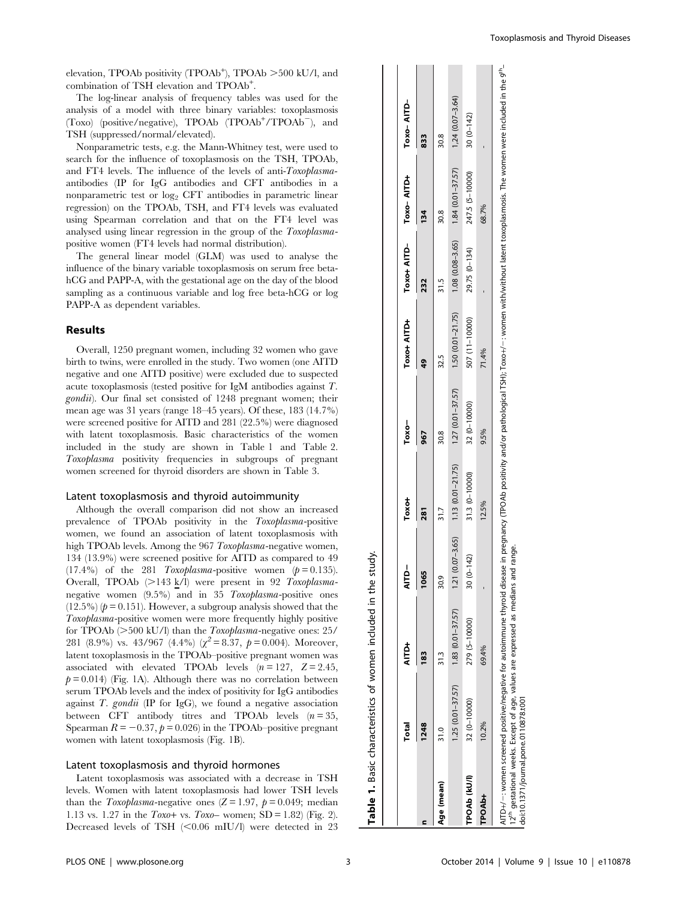elevation, TPOAb positivity (TPOAb<sup>+</sup>), TPOAb >500 kU/l, and combination of TSH elevation and TPOAb<sup>+</sup>.

The log-linear analysis of frequency tables was used for the analysis of a model with three binary variables: toxoplasmosis (Toxo) (positive/negative), TPOAb (TPOAb<sup>+</sup>/TPOAb<sup>-</sup>), and TSH (suppressed/normal/elevated).

Nonparametric tests, e.g. the Mann-Whitney test, were used to search for the influence of toxoplasmosis on the TSH, TPOAb, and FT4 levels. The influence of the levels of anti-Toxoplasmaantibodies (IP for IgG antibodies and CFT antibodies in a nonparametric test or  $log_2$  CFT antibodies in parametric linear regression) on the TPOAb, TSH, and FT4 levels was evaluated using Spearman correlation and that on the FT4 level was analysed using linear regression in the group of the Toxoplasmapositive women (FT4 levels had normal distribution).

The general linear model (GLM) was used to analyse the influence of the binary variable toxoplasmosis on serum free betahCG and PAPP-A, with the gestational age on the day of the blood sampling as a continuous variable and log free beta-hCG or log PAPP-A as dependent variables.

#### Results

Overall, 1250 pregnant women, including 32 women who gave birth to twins, were enrolled in the study. Two women (one AITD negative and one AITD positive) were excluded due to suspected acute toxoplasmosis (tested positive for IgM antibodies against T. gondii). Our final set consisted of 1248 pregnant women; their mean age was 31 years (range 18–45 years). Of these, 183 (14.7%) were screened positive for AITD and 281 (22.5%) were diagnosed with latent toxoplasmosis. Basic characteristics of the women included in the study are shown in Table 1 and Table 2. Toxoplasma positivity frequencies in subgroups of pregnant women screened for thyroid disorders are shown in Table 3.

#### Latent toxoplasmosis and thyroid autoimmunity

Although the overall comparison did not show an increased prevalence of TPOAb positivity in the Toxoplasma-positive women, we found an association of latent toxoplasmosis with high TPOAb levels. Among the 967 Toxoplasma-negative women, 134 (13.9%) were screened positive for AITD as compared to 49  $(17.4\%)$  of the 281 Toxoplasma-positive women  $(p=0.135)$ . Overall, TPOAb  $(>143 \text{ k/l})$  were present in 92 Toxoplasmanegative women (9.5%) and in 35 Toxoplasma-positive ones  $(12.5\%)$  ( $p = 0.151$ ). However, a subgroup analysis showed that the Toxoplasma-positive women were more frequently highly positive for TPOAb  $(>500 \text{ kU/l})$  than the *Toxoplasma*-negative ones: 25/ 281 (8.9%) vs. 43/967 (4.4%) ( $\chi^2$  = 8.37,  $p$  = 0.004). Moreover, latent toxoplasmosis in the TPOAb–positive pregnant women was associated with elevated TPOAb levels  $(n = 127, Z = 2.45,$  $p = 0.014$ ) (Fig. 1A). Although there was no correlation between serum TPOAb levels and the index of positivity for IgG antibodies against  $T$ . gondii (IP for IgG), we found a negative association between CFT antibody titres and TPOAb levels  $(n=35,$ Spearman  $R = -0.37$ ,  $p = 0.026$ ) in the TPOAb–positive pregnant women with latent toxoplasmosis (Fig. 1B).

#### Latent toxoplasmosis and thyroid hormones

Latent toxoplasmosis was associated with a decrease in TSH levels. Women with latent toxoplasmosis had lower TSH levels than the Toxoplasma-negative ones  $(Z = 1.97, p = 0.049;$  median 1.13 vs. 1.27 in the  $Toxo+$  vs.  $Toxo-$  women; SD = 1.82) (Fig. 2). Decreased levels of TSH  $(<0.06$  mIU/l) were detected in 23

| 833        | 134 | 232                    |             | 967     | 281               | 1065                                     |   |             |  |
|------------|-----|------------------------|-------------|---------|-------------------|------------------------------------------|---|-------------|--|
| Toxo-AITD- |     | Toxo+ AITD-Toxo- AITD+ | Toxot AITD1 | $Toxo-$ | Toxo <sub>1</sub> | <b>AITD-</b><br>$\overline{\phantom{a}}$ | Ē | <b>Tota</b> |  |
|            |     |                        |             |         |                   |                                          |   |             |  |

 $\overline{1}$ 

 $1,24$   $(0.07 - 3.64)$  $30(0-142)$ 

 $1.84(0.01 - 37.57)$ 247.5 (5-10000)

 $(0.08 - 3.65)$  $(0 - 134)$ 29.75  $1.08$  $31.5$ 

> $(0.01 - 21.75)$ 507 (11-10000) 71.4%

 $1.50($ 32.5

68.7%

30.8

30.8

Age (mean) 31.0 31.3 30.9 31.7 30.8 32.5 31.5 30.8 30.8

 $31.7$ 

30.9  $1.21$  $30$ 

30.8

1.25 (0.01–37.57) 1.83 (0.01–37.57) 1.21 (0.07–3.65) 1.13 (0.01–21.75) 1.27 (0.01–37.57) 1.50 (0.01–21.75) 1.08 (0.08–3.65) 1.84 (0.01–37.57) 1,24 (0.07–3.64)

1.27 (0.01-37.57) 32 (0-10000)

 $1.13(0.01 - 21.75)$ 31.3 (0-10000) 12.5%

 $(0.07 - 3.65)$  $(0 - 142)$ 

 $(0.01 - 37.57)$ 279 (5-10000) 69.4%

1.83  $31.3$ 

> $1.25(0.01 - 37.57)$ 32 (0-10000)

 $31.0$ 

Age (mean)

10.2%

TPOAb (kU/l)

TPOAb+

TPOAb (kU/l) 32 (0–10000) 279 (5–10000) 30 (0–142) 31.3 (0–10000) 32 (0–10000) 507 (11–10000) 29.75 (0–134) 247.5 (5–10000) 30 (0–142) TPOAb+ 10.2% 69.4% - 12.5% 9.5% 71.4% - 68.7% -

9.5%

| j<br>í<br>eas<br>12 <sup>th</sup> qestational weeks. Except of age, values are expressed as medians ar<br><b>TANK</b><br>vomen screened positive/negative for autoimmune ti.<br>loi:10.1371/journal.pone.0110878.t001<br>M:AT |
|-------------------------------------------------------------------------------------------------------------------------------------------------------------------------------------------------------------------------------|
|-------------------------------------------------------------------------------------------------------------------------------------------------------------------------------------------------------------------------------|

Table 1. Basic characteristics of women included in the study.

Basic characteristics of women included

 $\div$ 

 $\overline{\mathbf{v}}$ Table

in the study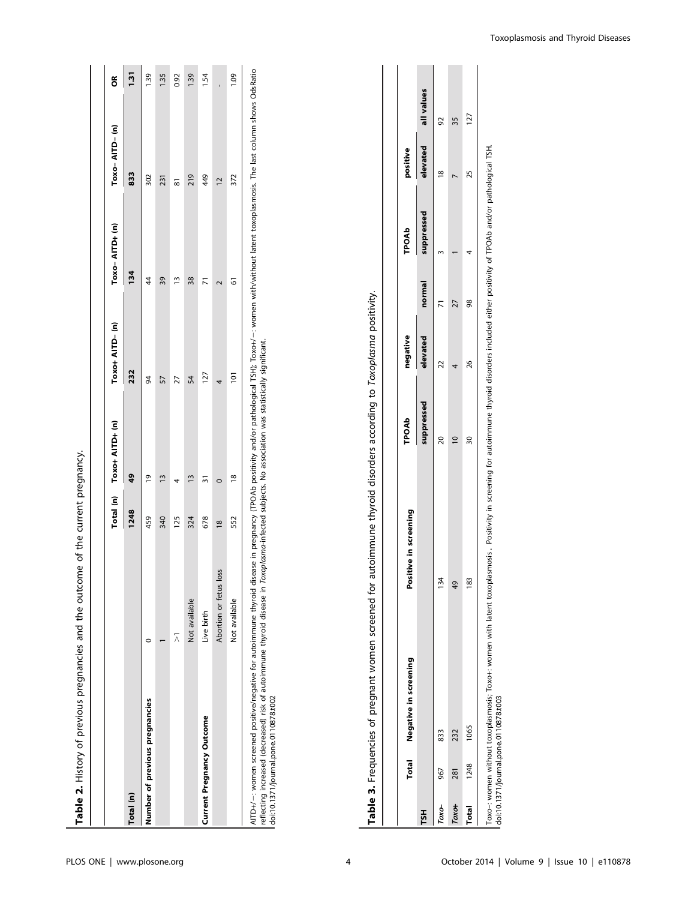| Table 2. History of previous pregnancies and the outcome of the current pregnancy. |                        |               |                           |                  |                 |                |                                 |
|------------------------------------------------------------------------------------|------------------------|---------------|---------------------------|------------------|-----------------|----------------|---------------------------------|
|                                                                                    |                        |               |                           |                  |                 |                |                                 |
|                                                                                    |                        |               | Total (n) Toxo+ AITD+ (n) | Toxo+ AITD- (n)  | $Toxo-AITD+(n)$ | Toxo-AITD-(n)  | õ                               |
| Total (n)                                                                          |                        | 1248          | $\frac{6}{4}$             | 232              | 134             | 833            | 131<br>$\overline{\phantom{a}}$ |
| Number of previous pregnancies                                                     |                        | 459           | $\overline{0}$            | 84               | 4               | 302            | 139                             |
|                                                                                    |                        | 340           | $\tilde{=}$               | 57               | 39              | 231            | 135                             |
|                                                                                    |                        | 125           |                           | 27               | Ľ               | 5              | 0.92                            |
|                                                                                    | Not available          | 324           | $\frac{3}{2}$             | 54               | 38              | 219            | 139                             |
| Current Pregnancy Outcome                                                          | Live birth             | 678           | 51                        | 127              | $\overline{7}$  | 449            | 1.54                            |
|                                                                                    | Abortion or fetus loss | $\frac{8}{2}$ | 0                         |                  |                 | $\overline{c}$ |                                 |
|                                                                                    | Not available          | 552           | $\frac{8}{2}$             | $\overline{101}$ | 6               | 372            | <b>1.09</b>                     |
|                                                                                    |                        |               |                           |                  |                 |                |                                 |

AITD+/-: women screened positive/negative for autoimmune thyroid disease in pregnancy (TPOAb positivity and/or pathological TSH); Toxo+/-: women with/without latent toxoplasmosis. The last column shows OdsRatio<br>reflecting AITD+/-: women screened positive/negative for autoimmune thyroid disease in pregnancy (TPOAb positivity and/or pathological TSH); Toxo+/-: women with/without latent toxoplasmosis. The last column shows OdsRatio reflecting increased (decreased) risk of autoimmune thyroid disease in Toxoplasma-infected subjects. No association was statistically significant. doi:10.1371/journal.pone.0110878.t002

|              |      | Total Negative in screening | Positive in screening | TPOAb      | negative |        | TPOAb      | positive            |    |
|--------------|------|-----------------------------|-----------------------|------------|----------|--------|------------|---------------------|----|
| HSL          |      |                             |                       | suppressed | elevated | normal | suppressed | elevated all values |    |
| Тохо-        | 967  | 833                         | 134                   |            | 2        |        |            | œ                   | 92 |
| Toxo+        | 281  | 232                         | 49                    |            |          |        |            |                     | ςς |
| <b>Total</b> | 1248 | 1065                        | 183                   |            | 26       |        |            |                     |    |

Table 3. Frequencies of pregnant women screened for autoimmune thyroid disorders according to Toxoplasma positivity.

Table 3. Frequencies of pregnant women screened for autoimmune thyroid disorders according to Toxoplasma positivity.

Toxo-: women without toxoplasmosis; Toxo+: women with latent toxoplasmosis . Positivity in screening for autoimmune thyroid disorders included either positivity of TPOAb and/or pathological TSH.<br>doi:10.1371/journal.pone.01 Toxo–: women without toxoplasmosis; Toxo+: women with latent toxoplasmosis. Positivity in screening for autoimmune thyroid disorders included either positivity of TPOAb and/or pathological TSH. doi:10.1371/journal.pone.0110878.t003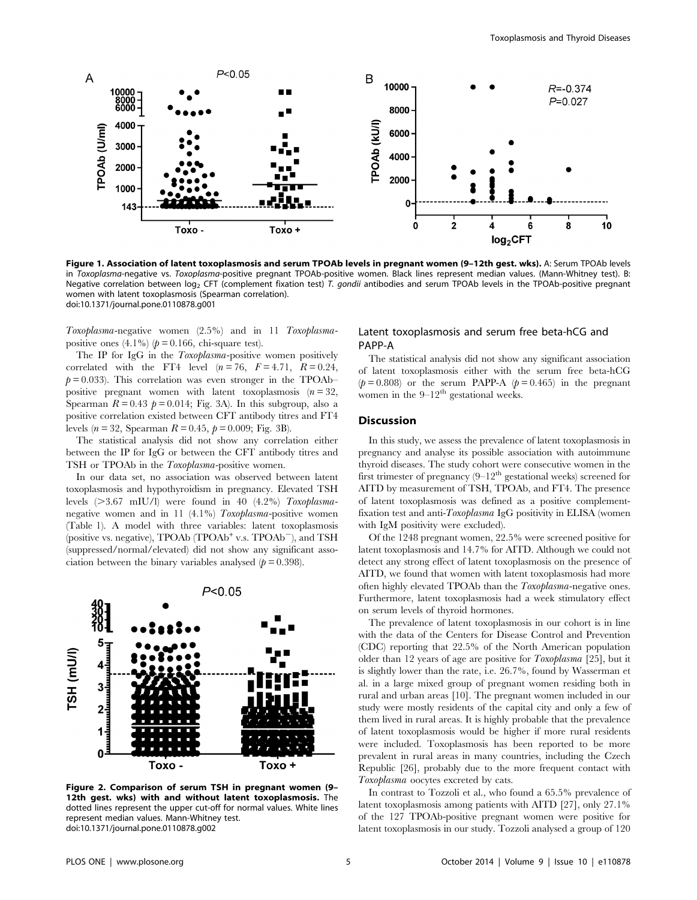

Figure 1. Association of latent toxoplasmosis and serum TPOAb levels in pregnant women (9–12th gest. wks). A: Serum TPOAb levels in Toxoplasma-negative vs. Toxoplasma-positive pregnant TPOAb-positive women. Black lines represent median values. (Mann-Whitney test). B: Negative correlation between log<sub>2</sub> CFT (complement fixation test) T. gondii antibodies and serum TPOAb levels in the TPOAb-positive pregnant women with latent toxoplasmosis (Spearman correlation). doi:10.1371/journal.pone.0110878.g001

Toxoplasma-negative women (2.5%) and in 11 Toxoplasmapositive ones  $(4.1\%)$  ( $p = 0.166$ , chi-square test).

The IP for IgG in the Toxoplasma-positive women positively correlated with the FT4 level  $(n = 76, F = 4.71, R = 0.24,$  $p = 0.033$ . This correlation was even stronger in the TPOAb– positive pregnant women with latent toxoplasmosis  $(n=32)$ , Spearman  $R = 0.43$   $p = 0.014$ ; Fig. 3A). In this subgroup, also a positive correlation existed between CFT antibody titres and FT4 levels ( $n = 32$ , Spearman  $R = 0.45$ ,  $p = 0.009$ ; Fig. 3B).

The statistical analysis did not show any correlation either between the IP for IgG or between the CFT antibody titres and TSH or TPOAb in the Toxoplasma-positive women.

In our data set, no association was observed between latent toxoplasmosis and hypothyroidism in pregnancy. Elevated TSH levels  $(>=3.67$  mIU/l) were found in 40  $(4.2\%)$  Toxoplasmanegative women and in 11 (4.1%) Toxoplasma-positive women (Table 1). A model with three variables: latent toxoplasmosis (positive vs. negative),  $TPOAb (TPOAb<sup>+</sup> v.s. TPOAb<sup>-</sup>)$ , and TSH (suppressed/normal/elevated) did not show any significant association between the binary variables analysed  $(p = 0.398)$ .



Figure 2. Comparison of serum TSH in pregnant women (9– 12th gest. wks) with and without latent toxoplasmosis. The dotted lines represent the upper cut-off for normal values. White lines represent median values. Mann-Whitney test. doi:10.1371/journal.pone.0110878.g002

#### Latent toxoplasmosis and serum free beta-hCG and PAPP-A

The statistical analysis did not show any significant association of latent toxoplasmosis either with the serum free beta-hCG  $(p=0.808)$  or the serum PAPP-A  $(p=0.465)$  in the pregnant women in the  $9-12^{th}$  gestational weeks.

#### **Discussion**

In this study, we assess the prevalence of latent toxoplasmosis in pregnancy and analyse its possible association with autoimmune thyroid diseases. The study cohort were consecutive women in the first trimester of pregnancy  $(9-12<sup>th</sup>$  gestational weeks) screened for AITD by measurement of TSH, TPOAb, and FT4. The presence of latent toxoplasmosis was defined as a positive complementfixation test and anti-Toxoplasma IgG positivity in ELISA (women with IgM positivity were excluded).

Of the 1248 pregnant women, 22.5% were screened positive for latent toxoplasmosis and 14.7% for AITD. Although we could not detect any strong effect of latent toxoplasmosis on the presence of AITD, we found that women with latent toxoplasmosis had more often highly elevated TPOAb than the Toxoplasma-negative ones. Furthermore, latent toxoplasmosis had a week stimulatory effect on serum levels of thyroid hormones.

The prevalence of latent toxoplasmosis in our cohort is in line with the data of the Centers for Disease Control and Prevention (CDC) reporting that 22.5% of the North American population older than 12 years of age are positive for Toxoplasma [25], but it is slightly lower than the rate, i.e. 26.7%, found by Wasserman et al. in a large mixed group of pregnant women residing both in rural and urban areas [10]. The pregnant women included in our study were mostly residents of the capital city and only a few of them lived in rural areas. It is highly probable that the prevalence of latent toxoplasmosis would be higher if more rural residents were included. Toxoplasmosis has been reported to be more prevalent in rural areas in many countries, including the Czech Republic [26], probably due to the more frequent contact with Toxoplasma oocytes excreted by cats.

In contrast to Tozzoli et al., who found a 65.5% prevalence of latent toxoplasmosis among patients with AITD [27], only 27.1% of the 127 TPOAb-positive pregnant women were positive for latent toxoplasmosis in our study. Tozzoli analysed a group of 120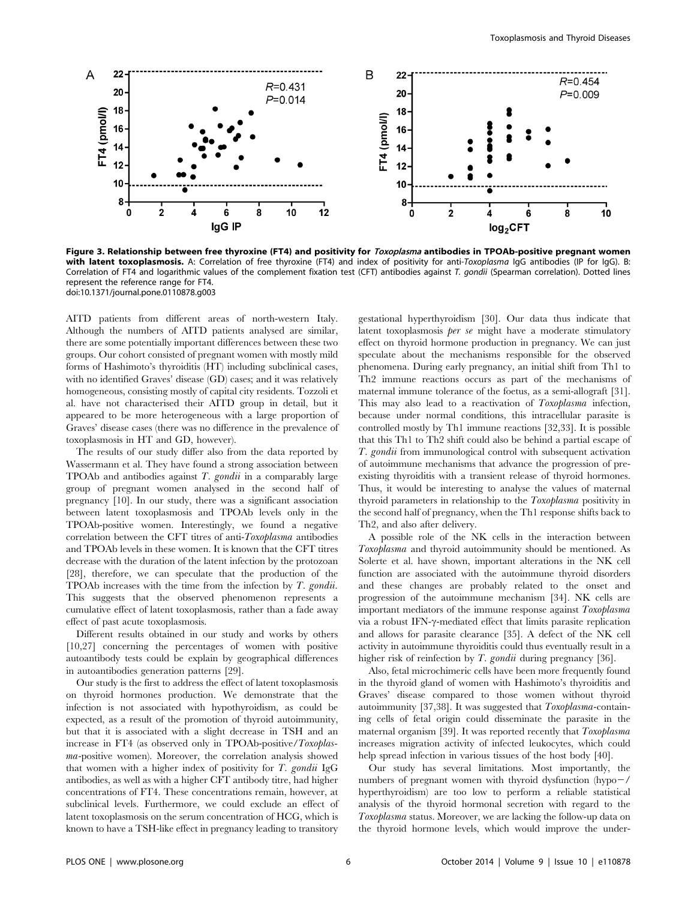

Figure 3. Relationship between free thyroxine (FT4) and positivity for *Toxoplasma* antibodies in TPOAb-positive pregnant women with latent toxoplasmosis. A: Correlation of free thyroxine (FT4) and index of positivity for anti-Toxoplasma IgG antibodies (IP for IgG). B: Correlation of FT4 and logarithmic values of the complement fixation test (CFT) antibodies against T. gondii (Spearman correlation). Dotted lines represent the reference range for FT4. doi:10.1371/journal.pone.0110878.g003

AITD patients from different areas of north-western Italy. Although the numbers of AITD patients analysed are similar, there are some potentially important differences between these two groups. Our cohort consisted of pregnant women with mostly mild forms of Hashimoto's thyroiditis (HT) including subclinical cases, with no identified Graves' disease (GD) cases; and it was relatively homogeneous, consisting mostly of capital city residents. Tozzoli et al. have not characterised their AITD group in detail, but it appeared to be more heterogeneous with a large proportion of Graves' disease cases (there was no difference in the prevalence of toxoplasmosis in HT and GD, however).

The results of our study differ also from the data reported by Wassermann et al. They have found a strong association between TPOAb and antibodies against T. gondii in a comparably large group of pregnant women analysed in the second half of pregnancy [10]. In our study, there was a significant association between latent toxoplasmosis and TPOAb levels only in the TPOAb-positive women. Interestingly, we found a negative correlation between the CFT titres of anti-Toxoplasma antibodies and TPOAb levels in these women. It is known that the CFT titres decrease with the duration of the latent infection by the protozoan [28], therefore, we can speculate that the production of the TPOAb increases with the time from the infection by T. gondii. This suggests that the observed phenomenon represents a cumulative effect of latent toxoplasmosis, rather than a fade away effect of past acute toxoplasmosis.

Different results obtained in our study and works by others [10,27] concerning the percentages of women with positive autoantibody tests could be explain by geographical differences in autoantibodies generation patterns [29].

Our study is the first to address the effect of latent toxoplasmosis on thyroid hormones production. We demonstrate that the infection is not associated with hypothyroidism, as could be expected, as a result of the promotion of thyroid autoimmunity, but that it is associated with a slight decrease in TSH and an increase in FT4 (as observed only in TPOAb-positive/Toxoplasma-positive women). Moreover, the correlation analysis showed that women with a higher index of positivity for  $T$ . gondii IgG antibodies, as well as with a higher CFT antibody titre, had higher concentrations of FT4. These concentrations remain, however, at subclinical levels. Furthermore, we could exclude an effect of latent toxoplasmosis on the serum concentration of HCG, which is known to have a TSH-like effect in pregnancy leading to transitory

gestational hyperthyroidism [30]. Our data thus indicate that latent toxoplasmosis per se might have a moderate stimulatory effect on thyroid hormone production in pregnancy. We can just speculate about the mechanisms responsible for the observed phenomena. During early pregnancy, an initial shift from Th1 to Th2 immune reactions occurs as part of the mechanisms of maternal immune tolerance of the foetus, as a semi-allograft [31]. This may also lead to a reactivation of Toxoplasma infection, because under normal conditions, this intracellular parasite is controlled mostly by Th1 immune reactions [32,33]. It is possible that this Th1 to Th2 shift could also be behind a partial escape of T. gondii from immunological control with subsequent activation of autoimmune mechanisms that advance the progression of preexisting thyroiditis with a transient release of thyroid hormones. Thus, it would be interesting to analyse the values of maternal thyroid parameters in relationship to the Toxoplasma positivity in the second half of pregnancy, when the Th1 response shifts back to Th2, and also after delivery.

A possible role of the NK cells in the interaction between Toxoplasma and thyroid autoimmunity should be mentioned. As Solerte et al. have shown, important alterations in the NK cell function are associated with the autoimmune thyroid disorders and these changes are probably related to the onset and progression of the autoimmune mechanism [34]. NK cells are important mediators of the immune response against Toxoplasma via a robust IFN-γ-mediated effect that limits parasite replication and allows for parasite clearance [35]. A defect of the NK cell activity in autoimmune thyroiditis could thus eventually result in a higher risk of reinfection by T. gondii during pregnancy [36].

Also, fetal microchimeric cells have been more frequently found in the thyroid gland of women with Hashimoto's thyroiditis and Graves' disease compared to those women without thyroid autoimmunity [37,38]. It was suggested that Toxoplasma-containing cells of fetal origin could disseminate the parasite in the maternal organism [39]. It was reported recently that Toxoplasma increases migration activity of infected leukocytes, which could help spread infection in various tissues of the host body [40].

Our study has several limitations. Most importantly, the numbers of pregnant women with thyroid dysfunction  $(hypo-/$ hyperthyroidism) are too low to perform a reliable statistical analysis of the thyroid hormonal secretion with regard to the Toxoplasma status. Moreover, we are lacking the follow-up data on the thyroid hormone levels, which would improve the under